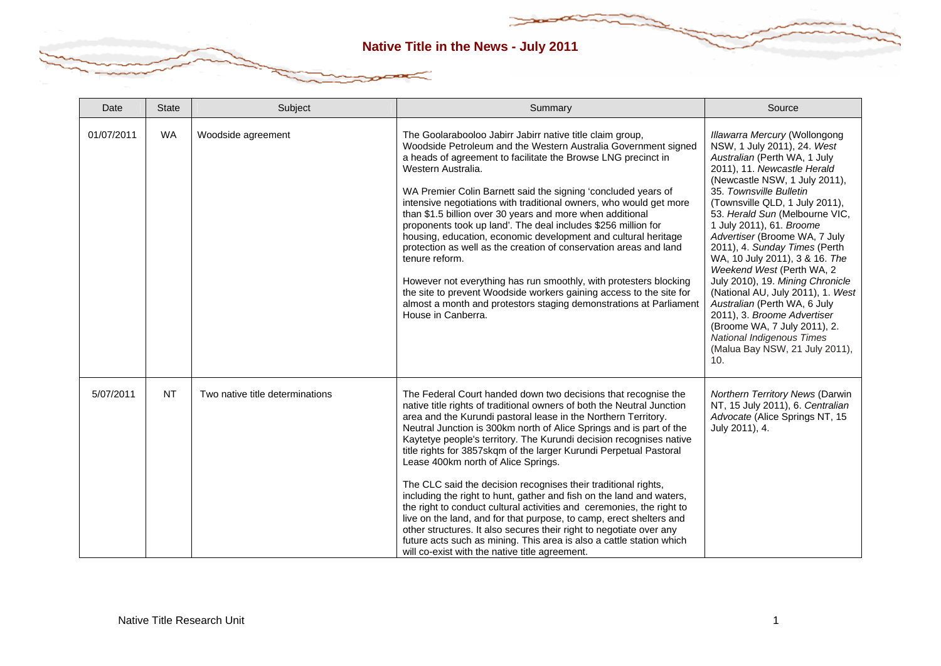| Date       | <b>State</b> | Subject                         | Summary                                                                                                                                                                                                                                                                                                                                                                                                                                                                                                                                                                                                                                                                                                                                                                                                                                                                                                                                                          | Source                                                                                                                                                                                                                                                                                                                                                                                                                                                                                                                                                                                                                                                                               |
|------------|--------------|---------------------------------|------------------------------------------------------------------------------------------------------------------------------------------------------------------------------------------------------------------------------------------------------------------------------------------------------------------------------------------------------------------------------------------------------------------------------------------------------------------------------------------------------------------------------------------------------------------------------------------------------------------------------------------------------------------------------------------------------------------------------------------------------------------------------------------------------------------------------------------------------------------------------------------------------------------------------------------------------------------|--------------------------------------------------------------------------------------------------------------------------------------------------------------------------------------------------------------------------------------------------------------------------------------------------------------------------------------------------------------------------------------------------------------------------------------------------------------------------------------------------------------------------------------------------------------------------------------------------------------------------------------------------------------------------------------|
| 01/07/2011 | <b>WA</b>    | Woodside agreement              | The Goolarabooloo Jabirr Jabirr native title claim group,<br>Woodside Petroleum and the Western Australia Government signed<br>a heads of agreement to facilitate the Browse LNG precinct in<br>Western Australia.<br>WA Premier Colin Barnett said the signing 'concluded years of<br>intensive negotiations with traditional owners, who would get more<br>than \$1.5 billion over 30 years and more when additional<br>proponents took up land'. The deal includes \$256 million for<br>housing, education, economic development and cultural heritage<br>protection as well as the creation of conservation areas and land<br>tenure reform.<br>However not everything has run smoothly, with protesters blocking<br>the site to prevent Woodside workers gaining access to the site for<br>almost a month and protestors staging demonstrations at Parliament<br>House in Canberra.                                                                         | <b>Illawarra Mercury (Wollongong</b><br>NSW, 1 July 2011), 24. West<br>Australian (Perth WA, 1 July<br>2011), 11. Newcastle Herald<br>(Newcastle NSW, 1 July 2011),<br>35. Townsville Bulletin<br>(Townsville QLD, 1 July 2011),<br>53. Herald Sun (Melbourne VIC,<br>1 July 2011), 61. Broome<br>Advertiser (Broome WA, 7 July<br>2011), 4. Sunday Times (Perth<br>WA, 10 July 2011), 3 & 16. The<br>Weekend West (Perth WA, 2<br>July 2010), 19. Mining Chronicle<br>(National AU, July 2011), 1. West<br>Australian (Perth WA, 6 July<br>2011), 3. Broome Advertiser<br>(Broome WA, 7 July 2011), 2.<br><b>National Indigenous Times</b><br>(Malua Bay NSW, 21 July 2011),<br>10. |
| 5/07/2011  | <b>NT</b>    | Two native title determinations | The Federal Court handed down two decisions that recognise the<br>native title rights of traditional owners of both the Neutral Junction<br>area and the Kurundi pastoral lease in the Northern Territory.<br>Neutral Junction is 300km north of Alice Springs and is part of the<br>Kaytetye people's territory. The Kurundi decision recognises native<br>title rights for 3857skqm of the larger Kurundi Perpetual Pastoral<br>Lease 400km north of Alice Springs.<br>The CLC said the decision recognises their traditional rights,<br>including the right to hunt, gather and fish on the land and waters,<br>the right to conduct cultural activities and ceremonies, the right to<br>live on the land, and for that purpose, to camp, erect shelters and<br>other structures. It also secures their right to negotiate over any<br>future acts such as mining. This area is also a cattle station which<br>will co-exist with the native title agreement. | <b>Northern Territory News (Darwin</b><br>NT, 15 July 2011), 6. Centralian<br>Advocate (Alice Springs NT, 15<br>July 2011), 4.                                                                                                                                                                                                                                                                                                                                                                                                                                                                                                                                                       |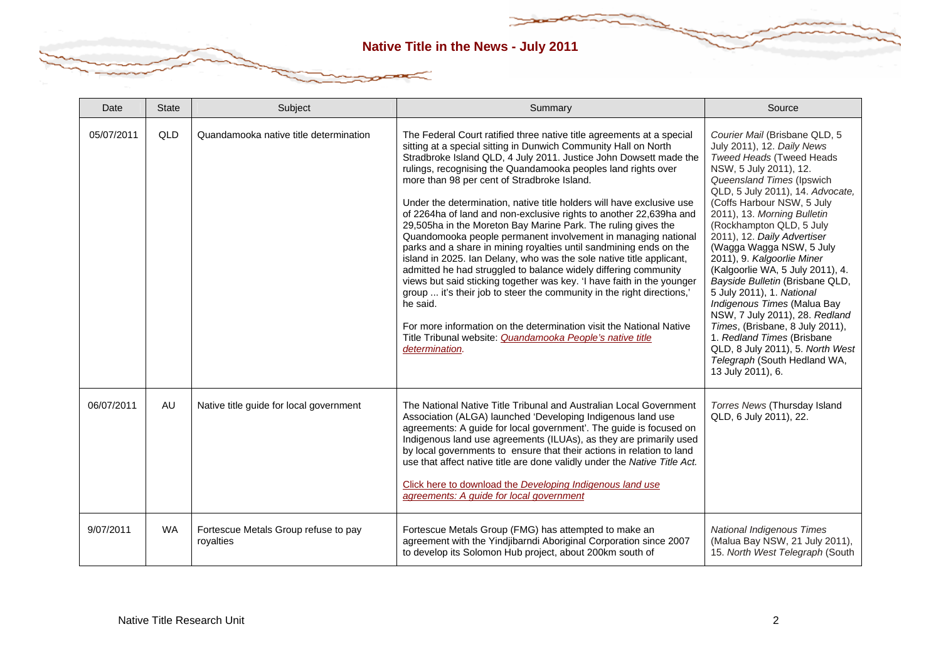| Date       | <b>State</b> | Subject                                           | Summary                                                                                                                                                                                                                                                                                                                                                                                                                                                                                                                                                                                                                                                                                                                                                                                                                                                                                                                                                                                                                                                                                                                                               | Source                                                                                                                                                                                                                                                                                                                                                                                                                                                                                                                                                                                                                                                                                              |
|------------|--------------|---------------------------------------------------|-------------------------------------------------------------------------------------------------------------------------------------------------------------------------------------------------------------------------------------------------------------------------------------------------------------------------------------------------------------------------------------------------------------------------------------------------------------------------------------------------------------------------------------------------------------------------------------------------------------------------------------------------------------------------------------------------------------------------------------------------------------------------------------------------------------------------------------------------------------------------------------------------------------------------------------------------------------------------------------------------------------------------------------------------------------------------------------------------------------------------------------------------------|-----------------------------------------------------------------------------------------------------------------------------------------------------------------------------------------------------------------------------------------------------------------------------------------------------------------------------------------------------------------------------------------------------------------------------------------------------------------------------------------------------------------------------------------------------------------------------------------------------------------------------------------------------------------------------------------------------|
| 05/07/2011 | QLD          | Quandamooka native title determination            | The Federal Court ratified three native title agreements at a special<br>sitting at a special sitting in Dunwich Community Hall on North<br>Stradbroke Island QLD, 4 July 2011. Justice John Dowsett made the<br>rulings, recognising the Quandamooka peoples land rights over<br>more than 98 per cent of Stradbroke Island.<br>Under the determination, native title holders will have exclusive use<br>of 2264ha of land and non-exclusive rights to another 22,639ha and<br>29,505ha in the Moreton Bay Marine Park. The ruling gives the<br>Quandomooka people permanent involvement in managing national<br>parks and a share in mining royalties until sandmining ends on the<br>island in 2025. Ian Delany, who was the sole native title applicant,<br>admitted he had struggled to balance widely differing community<br>views but said sticking together was key. 'I have faith in the younger<br>group  it's their job to steer the community in the right directions,'<br>he said.<br>For more information on the determination visit the National Native<br>Title Tribunal website: Quandamooka People's native title<br>determination. | Courier Mail (Brisbane QLD, 5<br>July 2011), 12. Daily News<br>Tweed Heads (Tweed Heads<br>NSW, 5 July 2011), 12.<br>Queensland Times (Ipswich<br>QLD, 5 July 2011), 14. Advocate,<br>(Coffs Harbour NSW, 5 July<br>2011), 13. Morning Bulletin<br>(Rockhampton QLD, 5 July<br>2011), 12. Daily Advertiser<br>(Wagga Wagga NSW, 5 July<br>2011), 9. Kalgoorlie Miner<br>(Kalgoorlie WA, 5 July 2011), 4.<br>Bayside Bulletin (Brisbane QLD,<br>5 July 2011), 1. National<br>Indigenous Times (Malua Bay<br>NSW, 7 July 2011), 28. Redland<br>Times, (Brisbane, 8 July 2011),<br>1. Redland Times (Brisbane<br>QLD, 8 July 2011), 5. North West<br>Telegraph (South Hedland WA,<br>13 July 2011), 6. |
| 06/07/2011 | AU           | Native title guide for local government           | The National Native Title Tribunal and Australian Local Government<br>Association (ALGA) launched 'Developing Indigenous land use<br>agreements: A guide for local government'. The guide is focused on<br>Indigenous land use agreements (ILUAs), as they are primarily used<br>by local governments to ensure that their actions in relation to land<br>use that affect native title are done validly under the Native Title Act.<br>Click here to download the Developing Indigenous land use<br>agreements: A guide for local government                                                                                                                                                                                                                                                                                                                                                                                                                                                                                                                                                                                                          | Torres News (Thursday Island<br>QLD, 6 July 2011), 22.                                                                                                                                                                                                                                                                                                                                                                                                                                                                                                                                                                                                                                              |
| 9/07/2011  | <b>WA</b>    | Fortescue Metals Group refuse to pay<br>royalties | Fortescue Metals Group (FMG) has attempted to make an<br>agreement with the Yindjibarndi Aboriginal Corporation since 2007<br>to develop its Solomon Hub project, about 200km south of                                                                                                                                                                                                                                                                                                                                                                                                                                                                                                                                                                                                                                                                                                                                                                                                                                                                                                                                                                | <b>National Indigenous Times</b><br>(Malua Bay NSW, 21 July 2011),<br>15. North West Telegraph (South                                                                                                                                                                                                                                                                                                                                                                                                                                                                                                                                                                                               |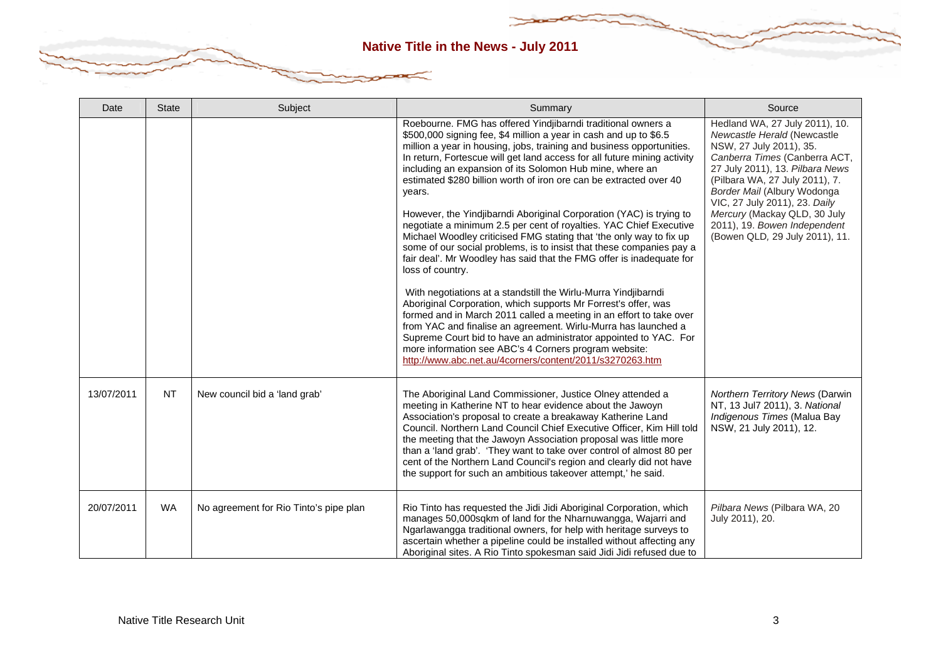| Date       | <b>State</b> | Subject                                | Summary                                                                                                                                                                                                                                                                                                                                                                                                                                                                                                                                                                                                                                                                                                                                                                                                                                                                                                                                                                                                                                                                                                                                                                                                                                                                                          | Source                                                                                                                                                                                                                                                                                                                                                           |
|------------|--------------|----------------------------------------|--------------------------------------------------------------------------------------------------------------------------------------------------------------------------------------------------------------------------------------------------------------------------------------------------------------------------------------------------------------------------------------------------------------------------------------------------------------------------------------------------------------------------------------------------------------------------------------------------------------------------------------------------------------------------------------------------------------------------------------------------------------------------------------------------------------------------------------------------------------------------------------------------------------------------------------------------------------------------------------------------------------------------------------------------------------------------------------------------------------------------------------------------------------------------------------------------------------------------------------------------------------------------------------------------|------------------------------------------------------------------------------------------------------------------------------------------------------------------------------------------------------------------------------------------------------------------------------------------------------------------------------------------------------------------|
|            |              |                                        | Roebourne. FMG has offered Yindjibarndi traditional owners a<br>\$500,000 signing fee, \$4 million a year in cash and up to \$6.5<br>million a year in housing, jobs, training and business opportunities.<br>In return, Fortescue will get land access for all future mining activity<br>including an expansion of its Solomon Hub mine, where an<br>estimated \$280 billion worth of iron ore can be extracted over 40<br>years.<br>However, the Yindjibarndi Aboriginal Corporation (YAC) is trying to<br>negotiate a minimum 2.5 per cent of royalties. YAC Chief Executive<br>Michael Woodley criticised FMG stating that 'the only way to fix up<br>some of our social problems, is to insist that these companies pay a<br>fair deal'. Mr Woodley has said that the FMG offer is inadequate for<br>loss of country.<br>With negotiations at a standstill the Wirlu-Murra Yindjibarndi<br>Aboriginal Corporation, which supports Mr Forrest's offer, was<br>formed and in March 2011 called a meeting in an effort to take over<br>from YAC and finalise an agreement. Wirlu-Murra has launched a<br>Supreme Court bid to have an administrator appointed to YAC. For<br>more information see ABC's 4 Corners program website:<br>http://www.abc.net.au/4corners/content/2011/s3270263.htm | Hedland WA, 27 July 2011), 10.<br>Newcastle Herald (Newcastle<br>NSW, 27 July 2011), 35.<br>Canberra Times (Canberra ACT,<br>27 July 2011), 13. Pilbara News<br>(Pilbara WA, 27 July 2011), 7.<br>Border Mail (Albury Wodonga<br>VIC, 27 July 2011), 23. Daily<br>Mercury (Mackay QLD, 30 July<br>2011), 19. Bowen Independent<br>(Bowen QLD, 29 July 2011), 11. |
| 13/07/2011 | <b>NT</b>    | New council bid a 'land grab'          | The Aboriginal Land Commissioner, Justice Olney attended a<br>meeting in Katherine NT to hear evidence about the Jawoyn<br>Association's proposal to create a breakaway Katherine Land<br>Council. Northern Land Council Chief Executive Officer, Kim Hill told<br>the meeting that the Jawoyn Association proposal was little more<br>than a 'land grab'. 'They want to take over control of almost 80 per<br>cent of the Northern Land Council's region and clearly did not have<br>the support for such an ambitious takeover attempt,' he said.                                                                                                                                                                                                                                                                                                                                                                                                                                                                                                                                                                                                                                                                                                                                              | Northern Territory News (Darwin<br>NT, 13 Jul7 2011), 3. National<br>Indigenous Times (Malua Bay<br>NSW, 21 July 2011), 12.                                                                                                                                                                                                                                      |
| 20/07/2011 | <b>WA</b>    | No agreement for Rio Tinto's pipe plan | Rio Tinto has requested the Jidi Jidi Aboriginal Corporation, which<br>manages 50,000sqkm of land for the Nharnuwangga, Wajarri and<br>Ngarlawangga traditional owners, for help with heritage surveys to<br>ascertain whether a pipeline could be installed without affecting any<br>Aboriginal sites. A Rio Tinto spokesman said Jidi Jidi refused due to                                                                                                                                                                                                                                                                                                                                                                                                                                                                                                                                                                                                                                                                                                                                                                                                                                                                                                                                      | Pilbara News (Pilbara WA, 20<br>July 2011), 20.                                                                                                                                                                                                                                                                                                                  |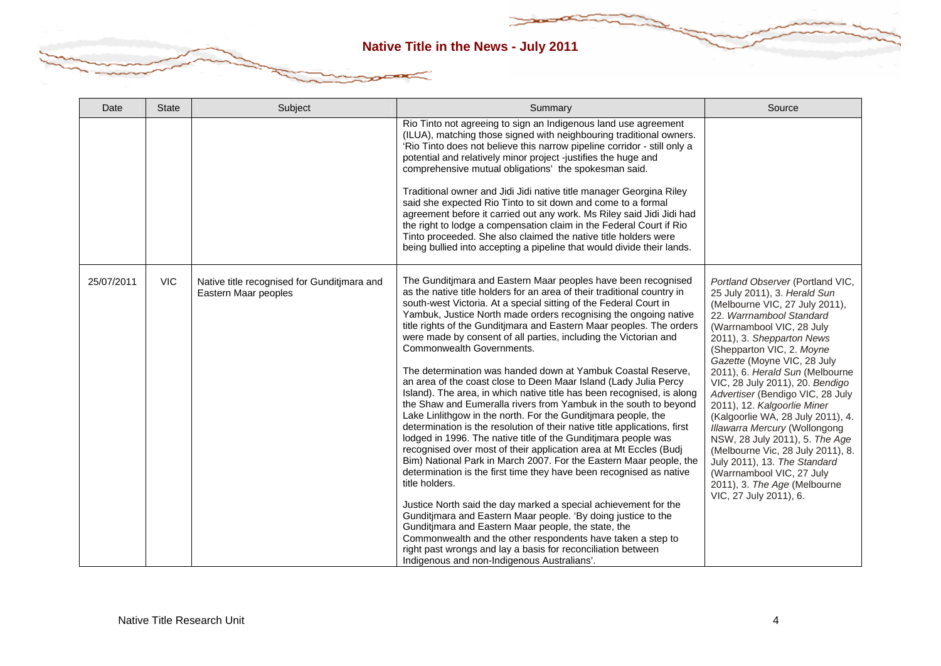| Date       | <b>State</b> | Subject                                                             | Summary                                                                                                                                                                                                                                                                                                                                                                                                                                                                                                                                                                                                                                                                                                                                                                                                                                                                                                                                                                                                                                                                                                                                                                                                                                                                                                                                                                                                                                                                                                                                                                   | Source                                                                                                                                                                                                                                                                                                                                                                                                                                                                                                                                                                                                                                                            |
|------------|--------------|---------------------------------------------------------------------|---------------------------------------------------------------------------------------------------------------------------------------------------------------------------------------------------------------------------------------------------------------------------------------------------------------------------------------------------------------------------------------------------------------------------------------------------------------------------------------------------------------------------------------------------------------------------------------------------------------------------------------------------------------------------------------------------------------------------------------------------------------------------------------------------------------------------------------------------------------------------------------------------------------------------------------------------------------------------------------------------------------------------------------------------------------------------------------------------------------------------------------------------------------------------------------------------------------------------------------------------------------------------------------------------------------------------------------------------------------------------------------------------------------------------------------------------------------------------------------------------------------------------------------------------------------------------|-------------------------------------------------------------------------------------------------------------------------------------------------------------------------------------------------------------------------------------------------------------------------------------------------------------------------------------------------------------------------------------------------------------------------------------------------------------------------------------------------------------------------------------------------------------------------------------------------------------------------------------------------------------------|
|            |              |                                                                     | Rio Tinto not agreeing to sign an Indigenous land use agreement<br>(ILUA), matching those signed with neighbouring traditional owners.<br>'Rio Tinto does not believe this narrow pipeline corridor - still only a<br>potential and relatively minor project -justifies the huge and<br>comprehensive mutual obligations' the spokesman said.<br>Traditional owner and Jidi Jidi native title manager Georgina Riley<br>said she expected Rio Tinto to sit down and come to a formal<br>agreement before it carried out any work. Ms Riley said Jidi Jidi had<br>the right to lodge a compensation claim in the Federal Court if Rio<br>Tinto proceeded. She also claimed the native title holders were<br>being bullied into accepting a pipeline that would divide their lands.                                                                                                                                                                                                                                                                                                                                                                                                                                                                                                                                                                                                                                                                                                                                                                                         |                                                                                                                                                                                                                                                                                                                                                                                                                                                                                                                                                                                                                                                                   |
| 25/07/2011 | <b>VIC</b>   | Native title recognised for Gunditimara and<br>Eastern Maar peoples | The Gunditjmara and Eastern Maar peoples have been recognised<br>as the native title holders for an area of their traditional country in<br>south-west Victoria. At a special sitting of the Federal Court in<br>Yambuk, Justice North made orders recognising the ongoing native<br>title rights of the Gunditimara and Eastern Maar peoples. The orders<br>were made by consent of all parties, including the Victorian and<br>Commonwealth Governments.<br>The determination was handed down at Yambuk Coastal Reserve,<br>an area of the coast close to Deen Maar Island (Lady Julia Percy<br>Island). The area, in which native title has been recognised, is along<br>the Shaw and Eumeralla rivers from Yambuk in the south to beyond<br>Lake Linlithgow in the north. For the Gunditjmara people, the<br>determination is the resolution of their native title applications, first<br>lodged in 1996. The native title of the Gunditjmara people was<br>recognised over most of their application area at Mt Eccles (Budj<br>Bim) National Park in March 2007. For the Eastern Maar people, the<br>determination is the first time they have been recognised as native<br>title holders.<br>Justice North said the day marked a special achievement for the<br>Gunditimara and Eastern Maar people. 'By doing justice to the<br>Gunditimara and Eastern Maar people, the state, the<br>Commonwealth and the other respondents have taken a step to<br>right past wrongs and lay a basis for reconciliation between<br>Indigenous and non-Indigenous Australians'. | Portland Observer (Portland VIC,<br>25 July 2011), 3. Herald Sun<br>(Melbourne VIC, 27 July 2011),<br>22. Warrnambool Standard<br>(Warrnambool VIC, 28 July<br>2011), 3. Shepparton News<br>(Shepparton VIC, 2. Moyne<br>Gazette (Moyne VIC, 28 July<br>2011), 6. Herald Sun (Melbourne<br>VIC, 28 July 2011), 20. Bendigo<br>Advertiser (Bendigo VIC, 28 July<br>2011), 12. Kalgoorlie Miner<br>(Kalgoorlie WA, 28 July 2011), 4.<br>Illawarra Mercury (Wollongong<br>NSW, 28 July 2011), 5. The Age<br>(Melbourne Vic, 28 July 2011), 8.<br>July 2011), 13. The Standard<br>(Warrnambool VIC, 27 July<br>2011), 3. The Age (Melbourne<br>VIC, 27 July 2011), 6. |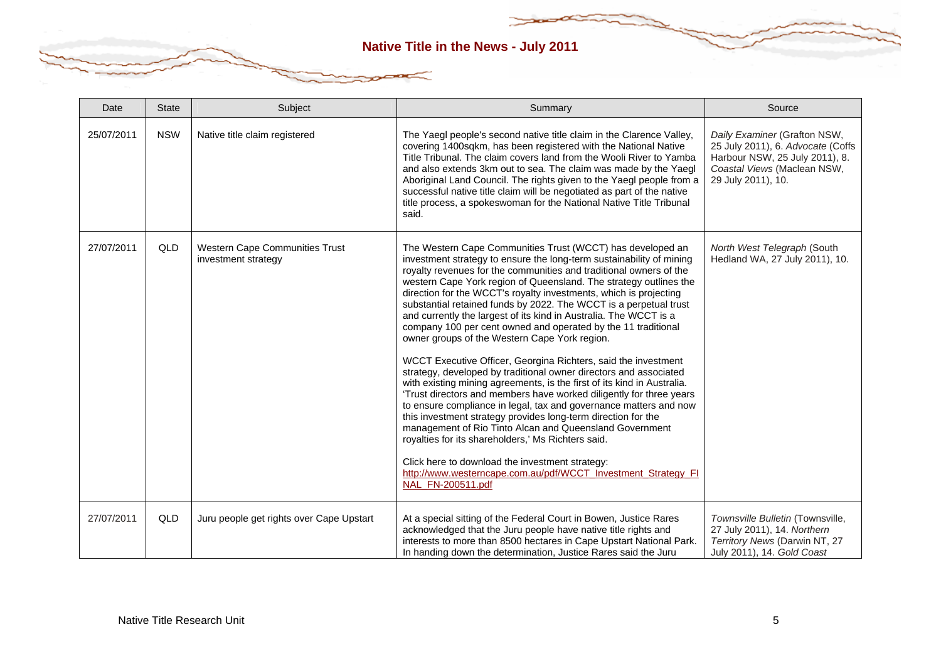| Date       | <b>State</b> | Subject                                                      | Summary                                                                                                                                                                                                                                                                                                                                                                                                                                                                                                                                                                                                                                                                                                                                                                                                                                                                                                                                                                                                                                                                                                                                                                                                                                                                                                 | Source                                                                                                                                                   |
|------------|--------------|--------------------------------------------------------------|---------------------------------------------------------------------------------------------------------------------------------------------------------------------------------------------------------------------------------------------------------------------------------------------------------------------------------------------------------------------------------------------------------------------------------------------------------------------------------------------------------------------------------------------------------------------------------------------------------------------------------------------------------------------------------------------------------------------------------------------------------------------------------------------------------------------------------------------------------------------------------------------------------------------------------------------------------------------------------------------------------------------------------------------------------------------------------------------------------------------------------------------------------------------------------------------------------------------------------------------------------------------------------------------------------|----------------------------------------------------------------------------------------------------------------------------------------------------------|
| 25/07/2011 | <b>NSW</b>   | Native title claim registered                                | The Yaegl people's second native title claim in the Clarence Valley,<br>covering 1400sqkm, has been registered with the National Native<br>Title Tribunal. The claim covers land from the Wooli River to Yamba<br>and also extends 3km out to sea. The claim was made by the Yaegl<br>Aboriginal Land Council. The rights given to the Yaegl people from a<br>successful native title claim will be negotiated as part of the native<br>title process, a spokeswoman for the National Native Title Tribunal<br>said.                                                                                                                                                                                                                                                                                                                                                                                                                                                                                                                                                                                                                                                                                                                                                                                    | Daily Examiner (Grafton NSW,<br>25 July 2011), 6. Advocate (Coffs<br>Harbour NSW, 25 July 2011), 8.<br>Coastal Views (Maclean NSW,<br>29 July 2011), 10. |
| 27/07/2011 | QLD          | <b>Western Cape Communities Trust</b><br>investment strategy | The Western Cape Communities Trust (WCCT) has developed an<br>investment strategy to ensure the long-term sustainability of mining<br>royalty revenues for the communities and traditional owners of the<br>western Cape York region of Queensland. The strategy outlines the<br>direction for the WCCT's royalty investments, which is projecting<br>substantial retained funds by 2022. The WCCT is a perpetual trust<br>and currently the largest of its kind in Australia. The WCCT is a<br>company 100 per cent owned and operated by the 11 traditional<br>owner groups of the Western Cape York region.<br>WCCT Executive Officer, Georgina Richters, said the investment<br>strategy, developed by traditional owner directors and associated<br>with existing mining agreements, is the first of its kind in Australia.<br>'Trust directors and members have worked diligently for three years<br>to ensure compliance in legal, tax and governance matters and now<br>this investment strategy provides long-term direction for the<br>management of Rio Tinto Alcan and Queensland Government<br>royalties for its shareholders,' Ms Richters said.<br>Click here to download the investment strategy:<br>http://www.westerncape.com.au/pdf/WCCT_Investment_Strategy_FI<br>NAL_FN-200511.pdf | North West Telegraph (South<br>Hedland WA, 27 July 2011), 10.                                                                                            |
| 27/07/2011 | QLD          | Juru people get rights over Cape Upstart                     | At a special sitting of the Federal Court in Bowen, Justice Rares<br>acknowledged that the Juru people have native title rights and<br>interests to more than 8500 hectares in Cape Upstart National Park.<br>In handing down the determination, Justice Rares said the Juru                                                                                                                                                                                                                                                                                                                                                                                                                                                                                                                                                                                                                                                                                                                                                                                                                                                                                                                                                                                                                            | Townsville Bulletin (Townsville,<br>27 July 2011), 14. Northern<br>Territory News (Darwin NT, 27<br>July 2011), 14. Gold Coast                           |